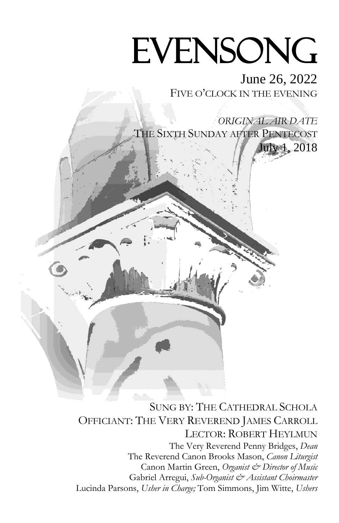# EVENSONG

June 26, 2022 FIVE O'CLOCK IN THE EVENING

*ORIGINAL AIR DATE* THE SIXTH SUNDAY AFTER PENTECOST July 1, 2018

SUNG BY: THE CATHEDRAL SCHOLA OFFICIANT: THE VERY REVEREND JAMES CARROLL LECTOR: ROBERT HEYLMUN The Very Reverend Penny Bridges, *Dean* The Reverend Canon Brooks Mason, *Canon Liturgist* Canon Martin Green, *Organist & Director of Music* Gabriel Arregui, *Sub-Organist & Assistant Choirmaster* Lucinda Parsons, *Usher in Charge;* Tom Simmons, Jim Witte, *Ushers*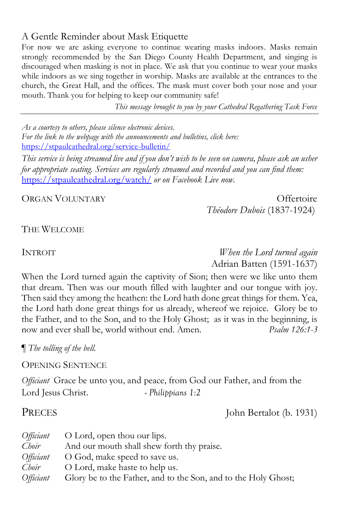#### A Gentle Reminder about Mask Etiquette

For now we are asking everyone to continue wearing masks indoors. Masks remain strongly recommended by the San Diego County Health Department, and singing is discouraged when masking is not in place. We ask that you continue to wear your masks while indoors as we sing together in worship. Masks are available at the entrances to the church, the Great Hall, and the offices. The mask must cover both your nose and your mouth. Thank you for helping to keep our community safe!

*This message brought to you by your Cathedral Regathering Task Force*

*As a courtesy to others, please silence electronic devices. For the link to the webpage with the announcements and bulletins, click here:*  <https://stpaulcathedral.org/service-bulletin/>

*This service is being streamed live and if you don't wish to be seen on camera, please ask an usher for appropriate seating. Services are regularly streamed and recorded and you can find them:* <https://stpaulcathedral.org/watch/> *or on Facebook Live now.*

ORGAN VOLUNTARY **Offertoire**  *Théodore Dubois* (1837-1924)

THE WELCOME

INTROIT *When the Lord turned again* Adrian Batten (1591-1637)

When the Lord turned again the captivity of Sion; then were we like unto them that dream. Then was our mouth filled with laughter and our tongue with joy. Then said they among the heathen: the Lord hath done great things for them. Yea, the Lord hath done great things for us already, whereof we rejoice. Glory be to the Father, and to the Son, and to the Holy Ghost; as it was in the beginning, is now and ever shall be, world without end. Amen. *Psalm 126:1-3*

*¶ The tolling of the bell.*

OPENING SENTENCE

*Officiant* Grace be unto you, and peace, from God our Father, and from the Lord Jesus Christ. **-** *Philippians* 1:2

PRECES John Bertalot (b. 1931)

| Officiant        | O Lord, open thou our lips.                                    |
|------------------|----------------------------------------------------------------|
| Choir            | And our mouth shall shew forth thy praise.                     |
| <i>Officiant</i> | O God, make speed to save us.                                  |
| Choir            | O Lord, make haste to help us.                                 |
| <i>Officiant</i> | Glory be to the Father, and to the Son, and to the Holy Ghost; |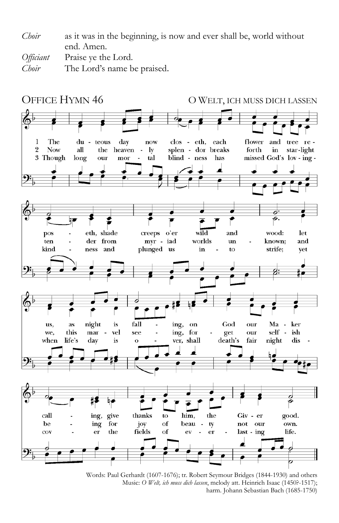*Choir* as it was in the beginning, is now and ever shall be, world without end. Amen.

*Officiant* Praise ye the Lord.

*Choir* The Lord's name be praised.



Words: Paul Gerhardt (1607-1676); tr. Robert Seymour Bridges (1844-1930) and others Music: *O Welt, ich muss dich lassen*, melody att. Heinrich Isaac (1450?-1517); harm. Johann Sebastian Bach (1685-1750)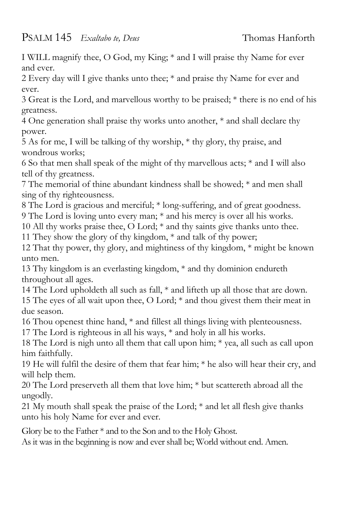I WILL magnify thee, O God, my King; \* and I will praise thy Name for ever and ever.

2 Every day will I give thanks unto thee; \* and praise thy Name for ever and ever.

3 Great is the Lord, and marvellous worthy to be praised; \* there is no end of his greatness.

4 One generation shall praise thy works unto another, \* and shall declare thy power.

5 As for me, I will be talking of thy worship, \* thy glory, thy praise, and wondrous works;

6 So that men shall speak of the might of thy marvellous acts; \* and I will also tell of thy greatness.

7 The memorial of thine abundant kindness shall be showed; \* and men shall sing of thy righteousness.

8 The Lord is gracious and merciful; \* long-suffering, and of great goodness.

9 The Lord is loving unto every man; \* and his mercy is over all his works.

10 All thy works praise thee, O Lord; \* and thy saints give thanks unto thee.

11 They show the glory of thy kingdom, \* and talk of thy power;

12 That thy power, thy glory, and mightiness of thy kingdom, \* might be known unto men.

13 Thy kingdom is an everlasting kingdom, \* and thy dominion endureth throughout all ages.

14 The Lord upholdeth all such as fall, \* and lifteth up all those that are down. 15 The eyes of all wait upon thee, O Lord; \* and thou givest them their meat in due season.

16 Thou openest thine hand, \* and fillest all things living with plenteousness.

17 The Lord is righteous in all his ways, \* and holy in all his works.

18 The Lord is nigh unto all them that call upon him; \* yea, all such as call upon him faithfully.

19 He will fulfil the desire of them that fear him; \* he also will hear their cry, and will help them.

20 The Lord preserveth all them that love him; \* but scattereth abroad all the ungodly.

21 My mouth shall speak the praise of the Lord; \* and let all flesh give thanks unto his holy Name for ever and ever.

Glory be to the Father \* and to the Son and to the Holy Ghost.

As it was in the beginning is now and ever shall be; World without end. Amen.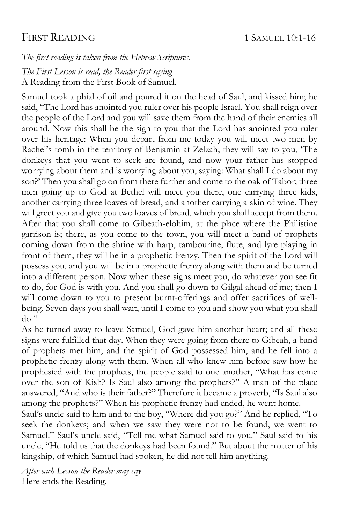#### FIRST READING 1 SAMUEL 10:1-16

## *The first reading is taken from the Hebrew Scriptures.*

*The First Lesson is read, the Reader first saying* A Reading from the First Book of Samuel.

Samuel took a phial of oil and poured it on the head of Saul, and kissed him; he said, "The Lord has anointed you ruler over his people Israel. You shall reign over the people of the Lord and you will save them from the hand of their enemies all around. Now this shall be the sign to you that the Lord has anointed you ruler over his heritage: When you depart from me today you will meet two men by Rachel's tomb in the territory of Benjamin at Zelzah; they will say to you, 'The donkeys that you went to seek are found, and now your father has stopped worrying about them and is worrying about you, saying: What shall I do about my son?' Then you shall go on from there further and come to the oak of Tabor; three men going up to God at Bethel will meet you there, one carrying three kids, another carrying three loaves of bread, and another carrying a skin of wine. They will greet you and give you two loaves of bread, which you shall accept from them. After that you shall come to Gibeath-elohim, at the place where the Philistine garrison is; there, as you come to the town, you will meet a band of prophets coming down from the shrine with harp, tambourine, flute, and lyre playing in front of them; they will be in a prophetic frenzy. Then the spirit of the Lord will possess you, and you will be in a prophetic frenzy along with them and be turned into a different person. Now when these signs meet you, do whatever you see fit to do, for God is with you. And you shall go down to Gilgal ahead of me; then I will come down to you to present burnt-offerings and offer sacrifices of wellbeing. Seven days you shall wait, until I come to you and show you what you shall do."

As he turned away to leave Samuel, God gave him another heart; and all these signs were fulfilled that day. When they were going from there to Gibeah, a band of prophets met him; and the spirit of God possessed him, and he fell into a prophetic frenzy along with them. When all who knew him before saw how he prophesied with the prophets, the people said to one another, "What has come over the son of Kish? Is Saul also among the prophets?" A man of the place answered, "And who is their father?" Therefore it became a proverb, "Is Saul also among the prophets?" When his prophetic frenzy had ended, he went home.

Saul's uncle said to him and to the boy, "Where did you go?" And he replied, "To seek the donkeys; and when we saw they were not to be found, we went to Samuel." Saul's uncle said, "Tell me what Samuel said to you." Saul said to his uncle, "He told us that the donkeys had been found." But about the matter of his kingship, of which Samuel had spoken, he did not tell him anything.

*After each Lesson the Reader may say* Here ends the Reading.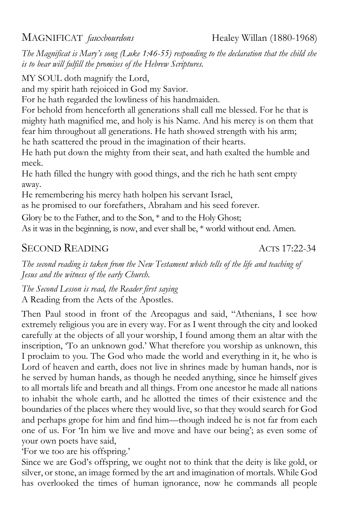MAGNIFICAT *fauxbourdons* Healey Willan (1880-1968)

*The Magnificat is Mary's song (Luke 1:46-55) responding to the declaration that the child she is to bear will fulfill the promises of the Hebrew Scriptures.*

MY SOUL doth magnify the Lord,

and my spirit hath rejoiced in God my Savior.

For he hath regarded the lowliness of his handmaiden.

For behold from henceforth all generations shall call me blessed. For he that is mighty hath magnified me, and holy is his Name. And his mercy is on them that fear him throughout all generations. He hath showed strength with his arm; he hath scattered the proud in the imagination of their hearts.

He hath put down the mighty from their seat, and hath exalted the humble and meek.

He hath filled the hungry with good things, and the rich he hath sent empty away.

He remembering his mercy hath holpen his servant Israel,

as he promised to our forefathers, Abraham and his seed forever.

Glory be to the Father, and to the Son, \* and to the Holy Ghost;

As it was in the beginning, is now, and ever shall be, \* world without end. Amen.

#### SECOND READING ACTS 17:22-34

*The second reading is taken from the New Testament which tells of the life and teaching of Jesus and the witness of the early Church.* 

*The Second Lesson is read, the Reader first saying* A Reading from the Acts of the Apostles.

Then Paul stood in front of the Areopagus and said, "Athenians, I see how extremely religious you are in every way. For as I went through the city and looked carefully at the objects of all your worship, I found among them an altar with the inscription, 'To an unknown god.' What therefore you worship as unknown, this I proclaim to you. The God who made the world and everything in it, he who is Lord of heaven and earth, does not live in shrines made by human hands, nor is he served by human hands, as though he needed anything, since he himself gives to all mortals life and breath and all things. From one ancestor he made all nations to inhabit the whole earth, and he allotted the times of their existence and the boundaries of the places where they would live, so that they would search for God and perhaps grope for him and find him—though indeed he is not far from each one of us. For 'In him we live and move and have our being'; as even some of your own poets have said,

'For we too are his offspring.'

Since we are God's offspring, we ought not to think that the deity is like gold, or silver, or stone, an image formed by the art and imagination of mortals. While God has overlooked the times of human ignorance, now he commands all people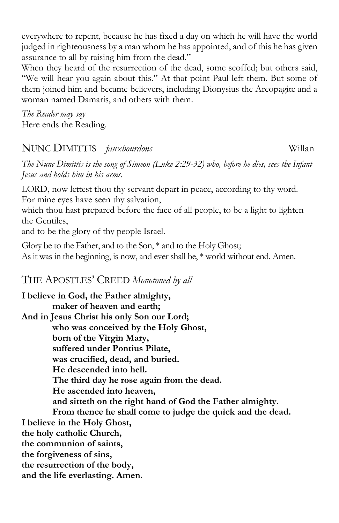everywhere to repent, because he has fixed a day on which he will have the world judged in righteousness by a man whom he has appointed, and of this he has given assurance to all by raising him from the dead."

When they heard of the resurrection of the dead, some scoffed; but others said, "We will hear you again about this." At that point Paul left them. But some of them joined him and became believers, including Dionysius the Areopagite and a woman named Damaris, and others with them.

*The Reader may say* Here ends the Reading.

#### NUNC DIMITTIS *fauxbourdons* Willan

*The Nunc Dimittis is the song of Simeon (Luke 2:29-32) who, before he dies, sees the Infant Jesus and holds him in his arms.*

LORD, now lettest thou thy servant depart in peace, according to thy word. For mine eyes have seen thy salvation,

which thou hast prepared before the face of all people, to be a light to lighten the Gentiles,

and to be the glory of thy people Israel.

Glory be to the Father, and to the Son, \* and to the Holy Ghost; As it was in the beginning, is now, and ever shall be, \* world without end. Amen.

#### THE APOSTLES' CREED *Monotoned by all*

**I believe in God, the Father almighty, maker of heaven and earth; And in Jesus Christ his only Son our Lord; who was conceived by the Holy Ghost, born of the Virgin Mary, suffered under Pontius Pilate, was crucified, dead, and buried. He descended into hell. The third day he rose again from the dead. He ascended into heaven, and sitteth on the right hand of God the Father almighty. From thence he shall come to judge the quick and the dead. I believe in the Holy Ghost, the holy catholic Church, the communion of saints, the forgiveness of sins, the resurrection of the body, and the life everlasting. Amen.**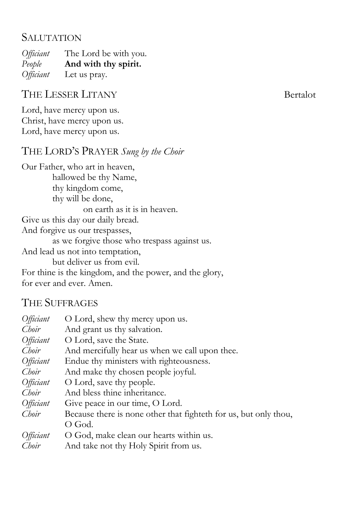#### **SALUTATION**

*Officiant* The Lord be with you. *People* **And with thy spirit.** *Officiant* Let us pray.

#### THE LESSER LITANY Bertalot

Lord, have mercy upon us. Christ, have mercy upon us. Lord, have mercy upon us.

#### THE LORD'S PRAYER *Sung by the Choir*

Our Father, who art in heaven, hallowed be thy Name, thy kingdom come, thy will be done, on earth as it is in heaven. Give us this day our daily bread. And forgive us our trespasses, as we forgive those who trespass against us. And lead us not into temptation, but deliver us from evil. For thine is the kingdom, and the power, and the glory, for ever and ever. Amen.

#### THE SUFFRAGES

| <i>Officiant</i> | O Lord, shew thy mercy upon us.                                  |
|------------------|------------------------------------------------------------------|
| Choir            | And grant us thy salvation.                                      |
| <i>Officiant</i> | O Lord, save the State.                                          |
| Choir            | And mercifully hear us when we call upon thee.                   |
| <i>Officiant</i> | Endue thy ministers with righteousness.                          |
| Choir            | And make thy chosen people joyful.                               |
| <i>Officiant</i> | O Lord, save thy people.                                         |
| Choir            | And bless thine inheritance.                                     |
| <i>Officiant</i> | Give peace in our time, O Lord.                                  |
| Choir            | Because there is none other that fighteth for us, but only thou, |
|                  | O God.                                                           |
| <i>Officiant</i> | O God, make clean our hearts within us.                          |
| Choir            | And take not thy Holy Spirit from us.                            |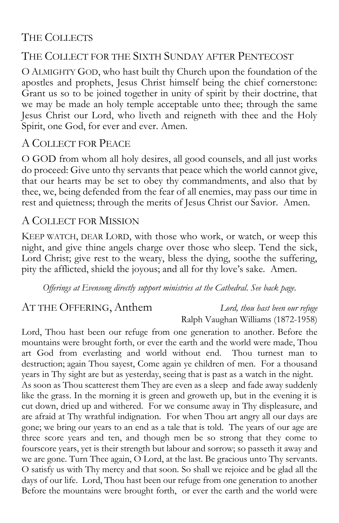### THE COLLECTS

#### THE COLLECT FOR THE SIXTH SUNDAY AFTER PENTECOST

O ALMIGHTY GOD, who hast built thy Church upon the foundation of the apostles and prophets, Jesus Christ himself being the chief cornerstone: Grant us so to be joined together in unity of spirit by their doctrine, that we may be made an holy temple acceptable unto thee; through the same Jesus Christ our Lord, who liveth and reigneth with thee and the Holy Spirit, one God, for ever and ever. Amen.

#### A COLLECT FOR PEACE

O GOD from whom all holy desires, all good counsels, and all just works do proceed: Give unto thy servants that peace which the world cannot give, that our hearts may be set to obey thy commandments, and also that by thee, we, being defended from the fear of all enemies, may pass our time in rest and quietness; through the merits of Jesus Christ our Savior. Amen.

#### A COLLECT FOR MISSION

KEEP WATCH, DEAR LORD, with those who work, or watch, or weep this night, and give thine angels charge over those who sleep. Tend the sick, Lord Christ; give rest to the weary, bless the dying, soothe the suffering, pity the afflicted, shield the joyous; and all for thy love's sake. Amen.

*Offerings at Evensong directly support ministries at the Cathedral. See back page.*

#### AT THE OFFERING, Anthem *Lord, thou hast been our refuge*

Ralph Vaughan Williams (1872-1958)

Lord, Thou hast been our refuge from one generation to another. Before the mountains were brought forth, or ever the earth and the world were made, Thou art God from everlasting and world without end. Thou turnest man to destruction; again Thou sayest, Come again ye children of men. For a thousand years in Thy sight are but as yesterday, seeing that is past as a watch in the night. As soon as Thou scatterest them They are even as a sleep and fade away suddenly like the grass. In the morning it is green and groweth up, but in the evening it is cut down, dried up and withered. For we consume away in Thy displeasure, and are afraid at Thy wrathful indignation. For when Thou art angry all our days are gone; we bring our years to an end as a tale that is told. The years of our age are three score years and ten, and though men be so strong that they come to fourscore years, yet is their strength but labour and sorrow; so passeth it away and we are gone. Turn Thee again, O Lord, at the last. Be gracious unto Thy servants. O satisfy us with Thy mercy and that soon. So shall we rejoice and be glad all the days of our life. Lord, Thou hast been our refuge from one generation to another Before the mountains were brought forth, or ever the earth and the world were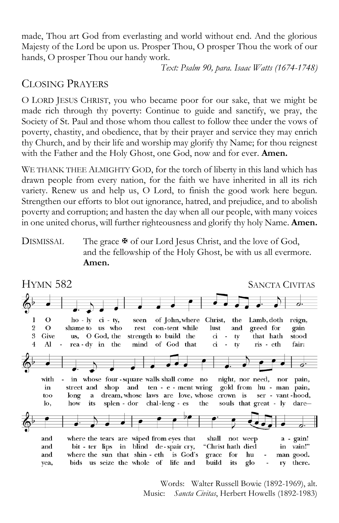made, Thou art God from everlasting and world without end. And the glorious Majesty of the Lord be upon us. Prosper Thou, O prosper Thou the work of our hands, O prosper Thou our handy work.

*Text: Psalm 90, para. Isaac Watts (1674-1748)*

#### CLOSING PRAYERS

O LORD JESUS CHRIST, you who became poor for our sake, that we might be made rich through thy poverty: Continue to guide and sanctify, we pray, the Society of St. Paul and those whom thou callest to follow thee under the vows of poverty, chastity, and obedience, that by their prayer and service they may enrich thy Church, and by their life and worship may glorify thy Name; for thou reignest with the Father and the Holy Ghost, one God, now and for ever. **Amen.**

WE THANK THEE ALMIGHTY GOD, for the torch of liberty in this land which has drawn people from every nation, for the faith we have inherited in all its rich variety. Renew us and help us, O Lord, to finish the good work here begun. Strengthen our efforts to blot out ignorance, hatred, and prejudice, and to abolish poverty and corruption; and hasten the day when all our people, with many voices in one united chorus, will further righteousness and glorify thy holy Name. **Amen.**

DISMISSAL The grace  $\mathbb F$  of our Lord Jesus Christ, and the love of God, and the fellowship of the Holy Ghost, be with us all evermore. **Amen.**

|                               | <b>HYMN 582</b>                       | SANCTA CIVITAS                                                                                                                                                                                                                                                                                                                                              |
|-------------------------------|---------------------------------------|-------------------------------------------------------------------------------------------------------------------------------------------------------------------------------------------------------------------------------------------------------------------------------------------------------------------------------------------------------------|
|                               |                                       | o.                                                                                                                                                                                                                                                                                                                                                          |
| 1<br>$\overline{2}$<br>3<br>4 | О<br>$\Omega$<br>Give<br>Al<br>$\sim$ | ho - ly<br>of John, where<br>$ci - ty$ ,<br>Christ, the<br>Lamb, doth<br>reign,<br>seen<br>con-tent while<br>shame to us who<br>lust<br>and<br>greed for<br>gain<br>rest.<br>us, O God, the<br>strength to build the<br>that hath<br>ci -<br>stood<br>ty<br>mind of God that<br>fair:<br>rea-dy in the<br>ris - eth<br>ci<br>tv<br>$\overline{\phantom{a}}$ |
|                               |                                       |                                                                                                                                                                                                                                                                                                                                                             |
|                               | with<br>in<br>too<br>lo,              | - in whose four-square walls shall come no<br>night, nor need, nor<br>pain,<br>street and shop and ten - e - ment wring<br>gold from hu - man pain,<br>dream, whose laws are love, whose<br>crown is ser - vant-hood,<br>long<br>a<br>splen - dor chal-leng - es the<br>souls that great - ly dare-<br>its<br>how                                           |
|                               |                                       |                                                                                                                                                                                                                                                                                                                                                             |
|                               | and<br>and<br>and<br>yea,             | where the tears are wiped from eyes that<br>shall<br>not weep<br>a - gain!<br>bit - ter lips in blind de-spair cry,<br>"Christ hath died<br>in vain!"<br>where the sun that shin - eth is God's<br>for<br>hu<br>grace<br>man good.<br>$\overline{\phantom{a}}$<br>build<br>bids us seize the whole of life and<br>glo<br>ry there.<br>its                   |

Words: Walter Russell Bowie (1892-1969), alt. Music: *Sancta Civitas*, Herbert Howells (1892-1983)